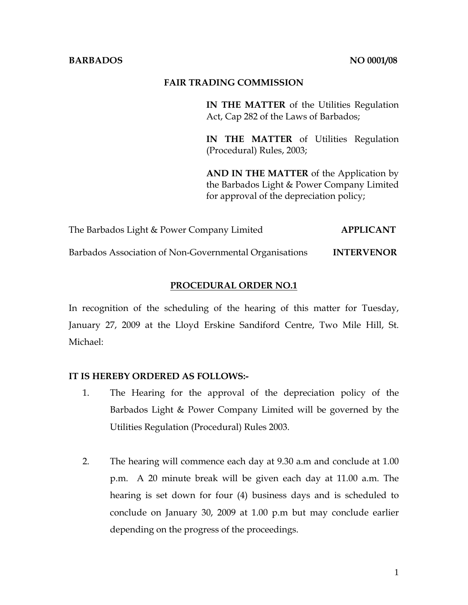#### **BARBADOS** NO 0001/08

#### **FAIR TRADING COMMISSION**

**IN THE MATTER** of the Utilities Regulation Act, Cap 282 of the Laws of Barbados;

**IN THE MATTER** of Utilities Regulation (Procedural) Rules, 2003;

**AND IN THE MATTER** of the Application by the Barbados Light & Power Company Limited for approval of the depreciation policy;

The Barbados Light & Power Company Limited **APPLICANT** 

Barbados Association of Non-Governmental Organisations **INTERVENOR**

### **PROCEDURAL ORDER NO.1**

In recognition of the scheduling of the hearing of this matter for Tuesday, January 27, 2009 at the Lloyd Erskine Sandiford Centre, Two Mile Hill, St. Michael:

### **IT IS HEREBY ORDERED AS FOLLOWS:-**

- 1. The Hearing for the approval of the depreciation policy of the Barbados Light & Power Company Limited will be governed by the Utilities Regulation (Procedural) Rules 2003.
- 2. The hearing will commence each day at 9.30 a.m and conclude at 1.00 p.m. A 20 minute break will be given each day at 11.00 a.m. The hearing is set down for four (4) business days and is scheduled to conclude on January 30, 2009 at 1.00 p.m but may conclude earlier depending on the progress of the proceedings.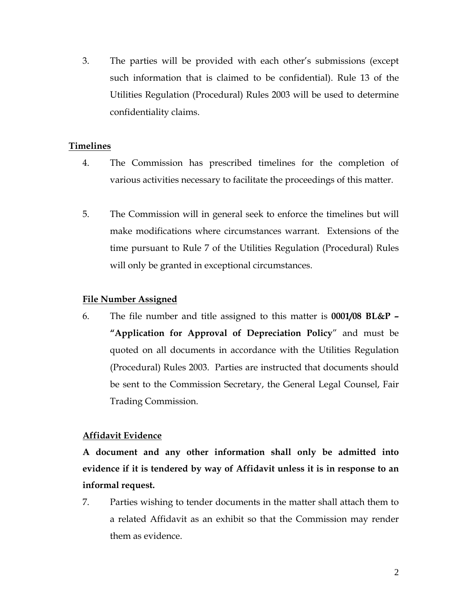3. The parties will be provided with each other's submissions (except such information that is claimed to be confidential). Rule 13 of the Utilities Regulation (Procedural) Rules 2003 will be used to determine confidentiality claims.

## **Timelines**

- 4. The Commission has prescribed timelines for the completion of various activities necessary to facilitate the proceedings of this matter.
- 5. The Commission will in general seek to enforce the timelines but will make modifications where circumstances warrant. Extensions of the time pursuant to Rule 7 of the Utilities Regulation (Procedural) Rules will only be granted in exceptional circumstances.

# **File Number Assigned**

6. The file number and title assigned to this matter is **0001/08 BL&P – "Application for Approval of Depreciation Policy**" and must be quoted on all documents in accordance with the Utilities Regulation (Procedural) Rules 2003. Parties are instructed that documents should be sent to the Commission Secretary, the General Legal Counsel, Fair Trading Commission.

# **Affidavit Evidence**

**A document and any other information shall only be admitted into evidence if it is tendered by way of Affidavit unless it is in response to an informal request.** 

7. Parties wishing to tender documents in the matter shall attach them to a related Affidavit as an exhibit so that the Commission may render them as evidence.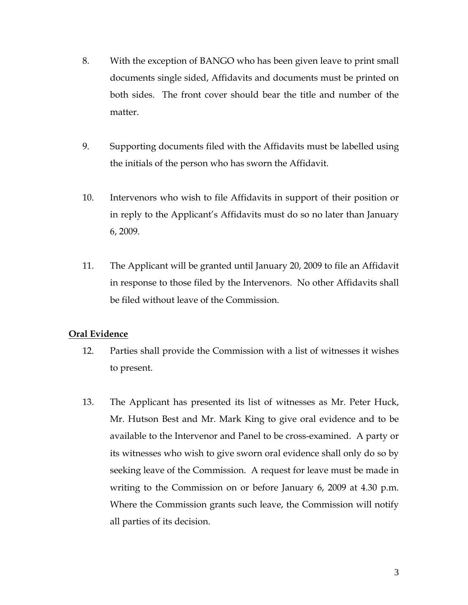- 8. With the exception of BANGO who has been given leave to print small documents single sided, Affidavits and documents must be printed on both sides. The front cover should bear the title and number of the matter.
- 9. Supporting documents filed with the Affidavits must be labelled using the initials of the person who has sworn the Affidavit.
- 10. Intervenors who wish to file Affidavits in support of their position or in reply to the Applicant's Affidavits must do so no later than January 6, 2009.
- 11. The Applicant will be granted until January 20, 2009 to file an Affidavit in response to those filed by the Intervenors. No other Affidavits shall be filed without leave of the Commission.

### **Oral Evidence**

- 12. Parties shall provide the Commission with a list of witnesses it wishes to present.
- 13. The Applicant has presented its list of witnesses as Mr. Peter Huck, Mr. Hutson Best and Mr. Mark King to give oral evidence and to be available to the Intervenor and Panel to be cross-examined. A party or its witnesses who wish to give sworn oral evidence shall only do so by seeking leave of the Commission. A request for leave must be made in writing to the Commission on or before January 6, 2009 at 4.30 p.m. Where the Commission grants such leave, the Commission will notify all parties of its decision.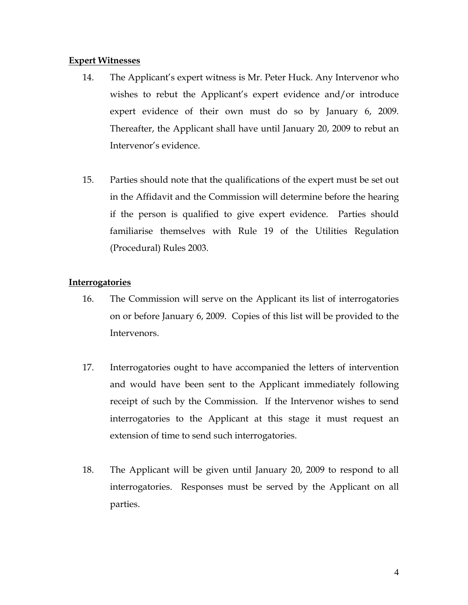#### **Expert Witnesses**

- 14. The Applicant's expert witness is Mr. Peter Huck. Any Intervenor who wishes to rebut the Applicant's expert evidence and/or introduce expert evidence of their own must do so by January 6, 2009. Thereafter, the Applicant shall have until January 20, 2009 to rebut an Intervenor's evidence.
- 15. Parties should note that the qualifications of the expert must be set out in the Affidavit and the Commission will determine before the hearing if the person is qualified to give expert evidence. Parties should familiarise themselves with Rule 19 of the Utilities Regulation (Procedural) Rules 2003.

### **Interrogatories**

- 16. The Commission will serve on the Applicant its list of interrogatories on or before January 6, 2009. Copies of this list will be provided to the Intervenors.
- 17. Interrogatories ought to have accompanied the letters of intervention and would have been sent to the Applicant immediately following receipt of such by the Commission. If the Intervenor wishes to send interrogatories to the Applicant at this stage it must request an extension of time to send such interrogatories.
- 18. The Applicant will be given until January 20, 2009 to respond to all interrogatories. Responses must be served by the Applicant on all parties.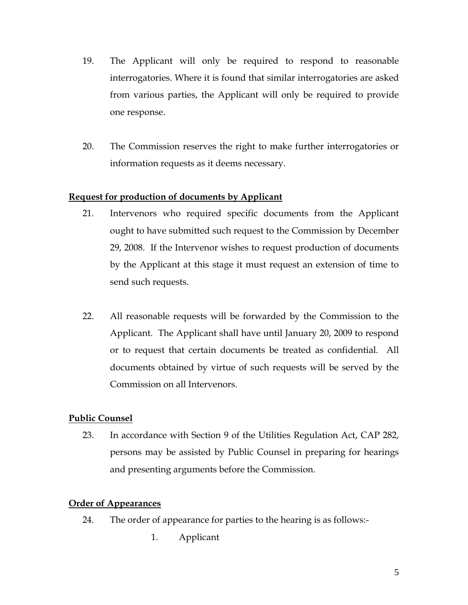- 19. The Applicant will only be required to respond to reasonable interrogatories. Where it is found that similar interrogatories are asked from various parties, the Applicant will only be required to provide one response.
- 20. The Commission reserves the right to make further interrogatories or information requests as it deems necessary.

### **Request for production of documents by Applicant**

- 21. Intervenors who required specific documents from the Applicant ought to have submitted such request to the Commission by December 29, 2008. If the Intervenor wishes to request production of documents by the Applicant at this stage it must request an extension of time to send such requests.
- 22. All reasonable requests will be forwarded by the Commission to the Applicant. The Applicant shall have until January 20, 2009 to respond or to request that certain documents be treated as confidential. All documents obtained by virtue of such requests will be served by the Commission on all Intervenors.

# **Public Counsel**

23. In accordance with Section 9 of the Utilities Regulation Act, CAP 282, persons may be assisted by Public Counsel in preparing for hearings and presenting arguments before the Commission.

### **Order of Appearances**

- 24. The order of appearance for parties to the hearing is as follows:-
	- 1. Applicant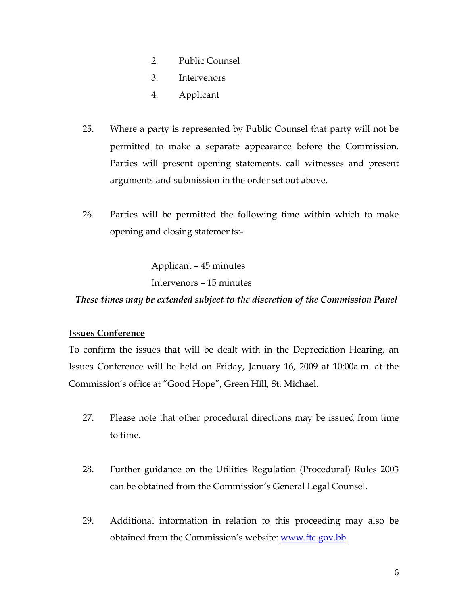- 2. Public Counsel
- 3. Intervenors
- 4. Applicant
- 25. Where a party is represented by Public Counsel that party will not be permitted to make a separate appearance before the Commission. Parties will present opening statements, call witnesses and present arguments and submission in the order set out above.
- 26. Parties will be permitted the following time within which to make opening and closing statements:-

Applicant – 45 minutes

Intervenors – 15 minutes

 *These times may be extended subject to the discretion of the Commission Panel* 

#### **Issues Conference**

To confirm the issues that will be dealt with in the Depreciation Hearing, an Issues Conference will be held on Friday, January 16, 2009 at 10:00a.m. at the Commission's office at "Good Hope", Green Hill, St. Michael.

- 27. Please note that other procedural directions may be issued from time to time.
- 28. Further guidance on the Utilities Regulation (Procedural) Rules 2003 can be obtained from the Commission's General Legal Counsel.
- 29. Additional information in relation to this proceeding may also be obtained from the Commission's website: www.ftc.gov.bb.